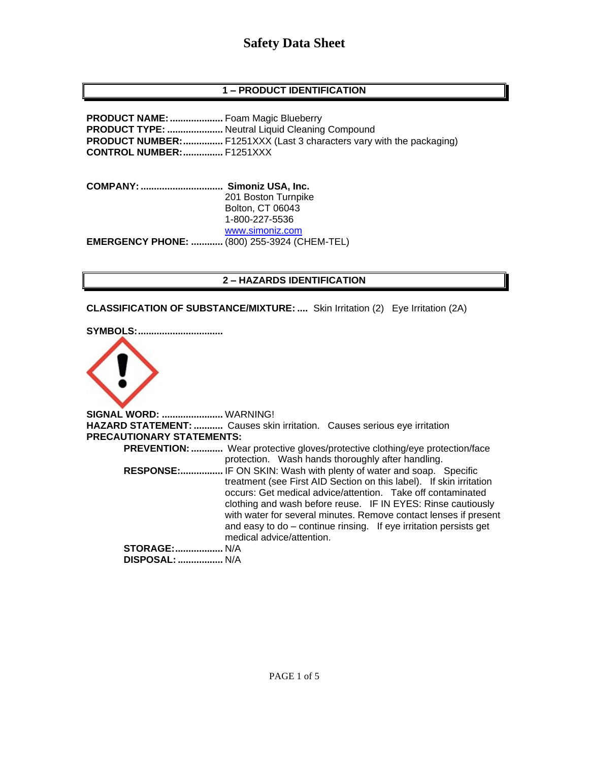### **1 – PRODUCT IDENTIFICATION**

**PRODUCT NAME:....................** Foam Magic Blueberry **PRODUCT TYPE: .....................** Neutral Liquid Cleaning Compound **PRODUCT NUMBER:...............** F1251XXX (Last 3 characters vary with the packaging) **CONTROL NUMBER:...............** F1251XXX

**COMPANY: ............................... Simoniz USA, Inc.** 201 Boston Turnpike Bolton, CT 06043 1-800-227-5536 [www.simoniz.com](http://www.simoniz.com/) **EMERGENCY PHONE: ............** (800) 255-3924 (CHEM-TEL)

#### **2 – HAZARDS IDENTIFICATION**

**CLASSIFICATION OF SUBSTANCE/MIXTURE: ....** Skin Irritation (2) Eye Irritation (2A)

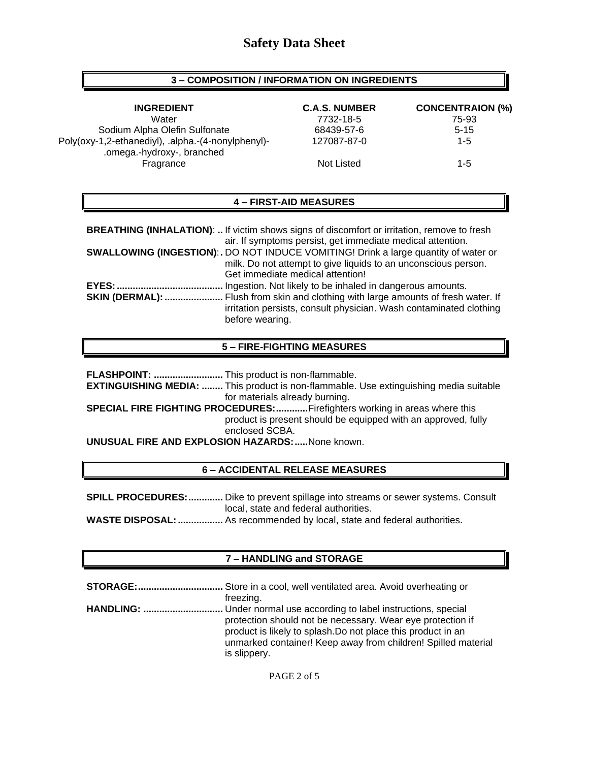#### **3 – COMPOSITION / INFORMATION ON INGREDIENTS**

**INGREDIENT C.A.S. NUMBER CONCENTRAION (%)** Water 7732-18-5 75-93 Sodium Alpha Olefin Sulfonate  $68439-57-6$  5-15 Poly(oxy-1,2-ethanediyl), .alpha.-(4-nonylphenyl)- .omega.-hydroxy-, branched 127087-87-0 1-5 Fragrance 1-5

#### **4 – FIRST-AID MEASURES**

| <b>BREATHING (INHALATION):  If victim shows signs of discomfort or irritation, remove to fresh</b><br>air. If symptoms persist, get immediate medical attention.                   |
|------------------------------------------------------------------------------------------------------------------------------------------------------------------------------------|
| <b>SWALLOWING (INGESTION):.</b> DO NOT INDUCE VOMITING! Drink a large quantity of water or                                                                                         |
| milk. Do not attempt to give liquids to an unconscious person.                                                                                                                     |
| Get immediate medical attention!                                                                                                                                                   |
| Ingestion. Not likely to be inhaled in dangerous amounts.                                                                                                                          |
| <b>SKIN (DERMAL): </b> Flush from skin and clothing with large amounts of fresh water. If<br>irritation persists, consult physician. Wash contaminated clothing<br>before wearing. |

#### **5 – FIRE-FIGHTING MEASURES**

**FLASHPOINT: ..........................** This product is non-flammable.

**EXTINGUISHING MEDIA: ........** This product is non-flammable. Use extinguishing media suitable for materials already burning.

**SPECIAL FIRE FIGHTING PROCEDURES:............**Firefighters working in areas where this product is present should be equipped with an approved, fully enclosed SCBA.

**UNUSUAL FIRE AND EXPLOSION HAZARDS:.....**None known.

#### **6 – ACCIDENTAL RELEASE MEASURES**

**SPILL PROCEDURES:.............** Dike to prevent spillage into streams or sewer systems. Consult local, state and federal authorities. **WASTE DISPOSAL:.................** As recommended by local, state and federal authorities.

#### **7 – HANDLING and STORAGE**

**STORAGE:................................** Store in a cool, well ventilated area. Avoid overheating or freezing. **HANDLING: ..............................** Under normal use according to label instructions, special protection should not be necessary. Wear eye protection if product is likely to splash.Do not place this product in an unmarked container! Keep away from children! Spilled material is slippery.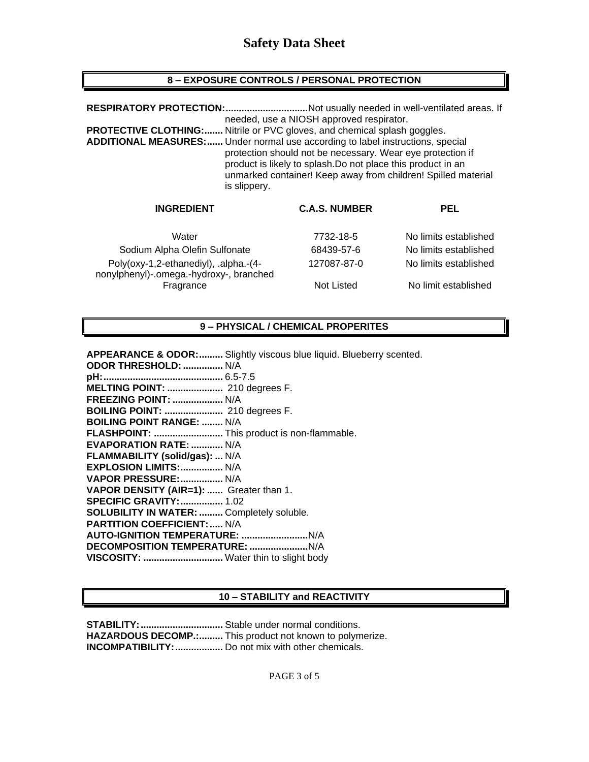### **8 – EXPOSURE CONTROLS / PERSONAL PROTECTION**

| RESPIRATORY PROTECTION:<br><b>PROTECTIVE CLOTHING:</b><br>ADDITIONAL MEASURES: Under normal use according to label instructions, special<br>is slippery. | needed, use a NIOSH approved respirator.<br>Nitrile or PVC gloves, and chemical splash goggles.<br>protection should not be necessary. Wear eye protection if<br>product is likely to splash. Do not place this product in an<br>unmarked container! Keep away from children! Spilled material | Not usually needed in well-ventilated areas. If |
|----------------------------------------------------------------------------------------------------------------------------------------------------------|------------------------------------------------------------------------------------------------------------------------------------------------------------------------------------------------------------------------------------------------------------------------------------------------|-------------------------------------------------|
| <b>INGREDIENT</b>                                                                                                                                        | <b>C.A.S. NUMBER</b>                                                                                                                                                                                                                                                                           | <b>PEL</b>                                      |
| Water                                                                                                                                                    | 7732-18-5                                                                                                                                                                                                                                                                                      | No limits established                           |

| vvater                                                                           | 7732-18-5   | TVO IIITIIUS ESTADIISNED |
|----------------------------------------------------------------------------------|-------------|--------------------------|
| Sodium Alpha Olefin Sulfonate                                                    | 68439-57-6  | No limits established    |
| Poly(oxy-1,2-ethanediyl), .alpha.-(4-<br>nonylphenyl)-.omega.-hydroxy-, branched | 127087-87-0 | No limits established    |
| Fragrance                                                                        | Not Listed  | No limit established     |

### **9 – PHYSICAL / CHEMICAL PROPERITES**

| <b>APPEARANCE &amp; ODOR:</b> Slightly viscous blue liquid. Blueberry scented. |
|--------------------------------------------------------------------------------|
| ODOR THRESHOLD:  N/A                                                           |
|                                                                                |
| <b>MELTING POINT: </b> 210 degrees F.                                          |
| <b>FREEZING POINT:  N/A</b>                                                    |
| <b>BOILING POINT: </b> 210 degrees F.                                          |
| <b>BOILING POINT RANGE:  N/A</b>                                               |
| FLASHPOINT:  This product is non-flammable.                                    |
| <b>EVAPORATION RATE:  N/A</b>                                                  |
| FLAMMABILITY (solid/gas):  N/A                                                 |
| EXPLOSION LIMITS:  N/A                                                         |
| VAPOR PRESSURE:  N/A                                                           |
| VAPOR DENSITY (AIR=1):  Greater than 1.                                        |
| <b>SPECIFIC GRAVITY:  1.02</b>                                                 |
| <b>SOLUBILITY IN WATER:  Completely soluble.</b>                               |
| <b>PARTITION COEFFICIENT:  N/A</b>                                             |
|                                                                                |
|                                                                                |
| VISCOSITY:  Water thin to slight body                                          |
|                                                                                |

#### **10 – STABILITY and REACTIVITY**

**STABILITY:...............................** Stable under normal conditions. **HAZARDOUS DECOMP.:.........** This product not known to polymerize. **INCOMPATIBILITY:..................** Do not mix with other chemicals.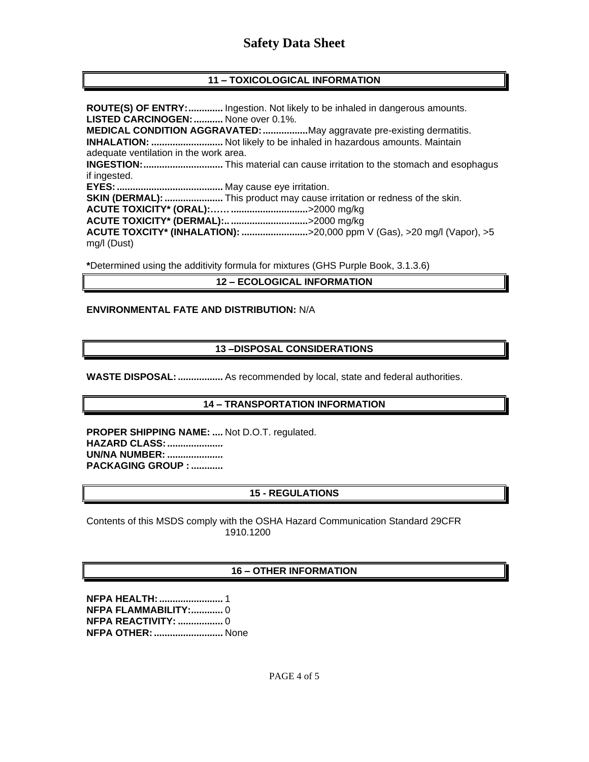### **11 – TOXICOLOGICAL INFORMATION**

**ROUTE(S) OF ENTRY:.............** Ingestion. Not likely to be inhaled in dangerous amounts. **LISTED CARCINOGEN:...........** None over 0.1%. **MEDICAL CONDITION AGGRAVATED:.................**May aggravate pre-existing dermatitis. **INHALATION: ...........................** Not likely to be inhaled in hazardous amounts. Maintain adequate ventilation in the work area. **INGESTION:..............................** This material can cause irritation to the stomach and esophagus if ingested. **EYES:........................................** May cause eye irritation. **SKIN (DERMAL):......................** This product may cause irritation or redness of the skin. **ACUTE TOXICITY\* (ORAL):…….............................**>2000 mg/kg **ACUTE TOXICITY\* (DERMAL):.. .............................**>2000 mg/kg **ACUTE TOXCITY\* (INHALATION): .........................**>20,000 ppm V (Gas), >20 mg/l (Vapor), >5 mg/l (Dust)

**\***Determined using the additivity formula for mixtures (GHS Purple Book, 3.1.3.6)

#### **12 – ECOLOGICAL INFORMATION**

#### **ENVIRONMENTAL FATE AND DISTRIBUTION:** N/A

#### **13 –DISPOSAL CONSIDERATIONS**

**WASTE DISPOSAL:.................** As recommended by local, state and federal authorities.

#### **14 – TRANSPORTATION INFORMATION**

**PROPER SHIPPING NAME: ....** Not D.O.T. regulated. **HAZARD CLASS:..................... UN/NA NUMBER: ..................... PACKAGING GROUP : ............**

#### **15 - REGULATIONS**

Contents of this MSDS comply with the OSHA Hazard Communication Standard 29CFR 1910.1200

#### **16 – OTHER INFORMATION**

**NFPA HEALTH:........................** 1 **NFPA FLAMMABILITY:............** 0 **NFPA REACTIVITY: .................** 0 **NFPA OTHER:..........................** None